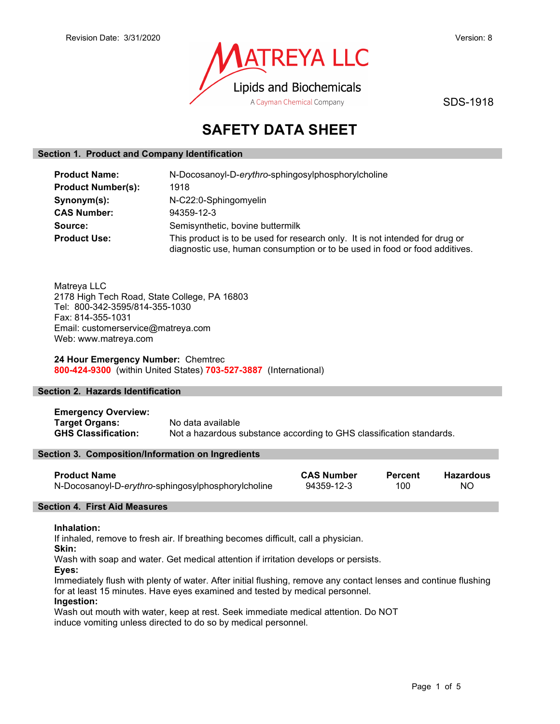

SDS-1918

# SAFETY DATA SHEET

# Section 1. Product and Company Identification

| <b>Product Name:</b>      | N-Docosanoyl-D-erythro-sphingosylphosphorylcholine                                                                                                         |  |
|---------------------------|------------------------------------------------------------------------------------------------------------------------------------------------------------|--|
| <b>Product Number(s):</b> | 1918                                                                                                                                                       |  |
| Synonym(s):               | N-C22:0-Sphingomyelin                                                                                                                                      |  |
| <b>CAS Number:</b>        | 94359-12-3                                                                                                                                                 |  |
| Source:                   | Semisynthetic, bovine buttermilk                                                                                                                           |  |
| <b>Product Use:</b>       | This product is to be used for research only. It is not intended for drug or<br>diagnostic use, human consumption or to be used in food or food additives. |  |

Matreya LLC 2178 High Tech Road, State College, PA 16803 Tel: 800-342-3595/814-355-1030 Fax: 814-355-1031 Email: customerservice@matreya.com Web: www.matreya.com

24 Hour Emergency Number: Chemtrec 800-424-9300 (within United States) 703-527-3887 (International)

# Section 2. Hazards Identification

Emergency Overview: Target Organs: No data available GHS Classification: Not a hazardous substance according to GHS classification standards.

# Section 3. Composition/Information on Ingredients

| <b>Product Name</b>                                | <b>CAS Number</b> | <b>Percent</b> | Hazardous |
|----------------------------------------------------|-------------------|----------------|-----------|
| N-Docosanoyl-D-erythro-sphingosylphosphorylcholine | 94359-12-3        | 100            | -NO       |

# Section 4. First Aid Measures

# Inhalation:

If inhaled, remove to fresh air. If breathing becomes difficult, call a physician.

Skin:

Wash with soap and water. Get medical attention if irritation develops or persists.

Eyes:

Immediately flush with plenty of water. After initial flushing, remove any contact lenses and continue flushing for at least 15 minutes. Have eyes examined and tested by medical personnel.

# Ingestion:

Wash out mouth with water, keep at rest. Seek immediate medical attention. Do NOT induce vomiting unless directed to do so by medical personnel.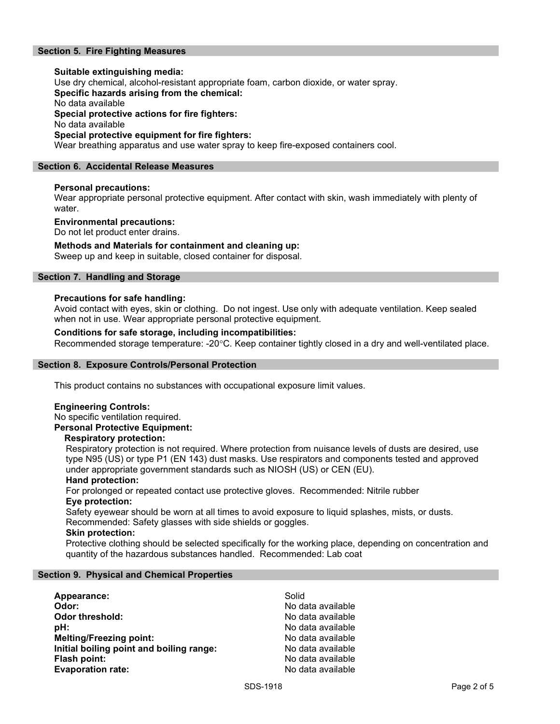# Section 5. Fire Fighting Measures

## Suitable extinguishing media: Use dry chemical, alcohol-resistant appropriate foam, carbon dioxide, or water spray. Specific hazards arising from the chemical: No data available Special protective actions for fire fighters: No data available Special protective equipment for fire fighters: Wear breathing apparatus and use water spray to keep fire-exposed containers cool.

## Section 6. Accidental Release Measures

## Personal precautions:

Wear appropriate personal protective equipment. After contact with skin, wash immediately with plenty of water.

#### Environmental precautions:

Do not let product enter drains.

## Methods and Materials for containment and cleaning up:

Sweep up and keep in suitable, closed container for disposal.

# Section 7. Handling and Storage

#### Precautions for safe handling:

Avoid contact with eyes, skin or clothing. Do not ingest. Use only with adequate ventilation. Keep sealed when not in use. Wear appropriate personal protective equipment.

# Conditions for safe storage, including incompatibilities:

Recommended storage temperature: -20°C. Keep container tightly closed in a dry and well-ventilated place.

#### Section 8. Exposure Controls/Personal Protection

This product contains no substances with occupational exposure limit values.

#### Engineering Controls:

No specific ventilation required. Personal Protective Equipment:

#### Respiratory protection:

Respiratory protection is not required. Where protection from nuisance levels of dusts are desired, use type N95 (US) or type P1 (EN 143) dust masks. Use respirators and components tested and approved under appropriate government standards such as NIOSH (US) or CEN (EU).

#### Hand protection:

For prolonged or repeated contact use protective gloves. Recommended: Nitrile rubber Eye protection:

Safety eyewear should be worn at all times to avoid exposure to liquid splashes, mists, or dusts. Recommended: Safety glasses with side shields or goggles.

#### Skin protection:

Protective clothing should be selected specifically for the working place, depending on concentration and quantity of the hazardous substances handled. Recommended: Lab coat

#### Section 9. Physical and Chemical Properties

Appearance: Solid Odor: No data available **Odor threshold:** No data available **pH:**  $\blacksquare$ Melting/Freezing point: No data available Initial boiling point and boiling range: No data available Flash point: No data available Evaporation rate: No data available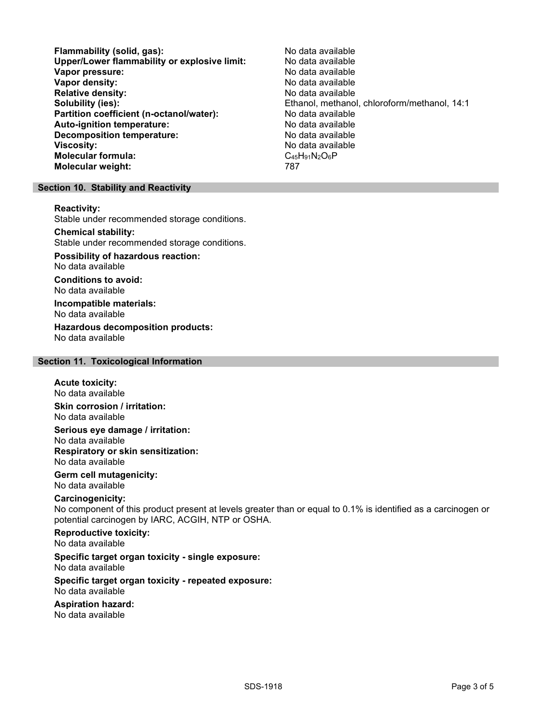Flammability (solid, gas):<br>
Upper/Lower flammability or explosive limit: No data available Upper/Lower flammability or explosive limit: No data available Vapor pressure: Vapor density: No data available Relative density: No data available Solubility (ies): The solubility (ies): Ethanol, methanol, chloroform/methanol, 14:1 Partition coefficient (n-octanol/water): No data available Auto-ignition temperature: No data available Decomposition temperature: No data available **Viscosity:**  $\blacksquare$  No data available Molecular formula:  $\blacksquare$   $\blacksquare$   $\blacksquare$   $\blacksquare$   $\blacksquare$   $\blacksquare$   $\blacksquare$   $\blacksquare$   $\blacksquare$   $\blacksquare$   $\blacksquare$   $\blacksquare$   $\blacksquare$   $\blacksquare$   $\blacksquare$   $\blacksquare$   $\blacksquare$   $\blacksquare$   $\blacksquare$   $\blacksquare$   $\blacksquare$   $\blacksquare$   $\blacksquare$   $\bl$ Molecular formula: Molecular weight: 787

## Section 10. Stability and Reactivity

Reactivity:

Stable under recommended storage conditions.

#### Chemical stability:

Stable under recommended storage conditions.

Possibility of hazardous reaction: No data available

Conditions to avoid: No data available

Incompatible materials: No data available

Hazardous decomposition products: No data available

# Section 11. Toxicological Information

#### Acute toxicity: No data available

Skin corrosion / irritation: No data available

Serious eye damage / irritation: No data available

Respiratory or skin sensitization: No data available

Germ cell mutagenicity: No data available

# Carcinogenicity:

No component of this product present at levels greater than or equal to 0.1% is identified as a carcinogen or potential carcinogen by IARC, ACGIH, NTP or OSHA.

#### Reproductive toxicity: No data available

#### Specific target organ toxicity - single exposure: No data available

Specific target organ toxicity - repeated exposure: No data available

# Aspiration hazard:

No data available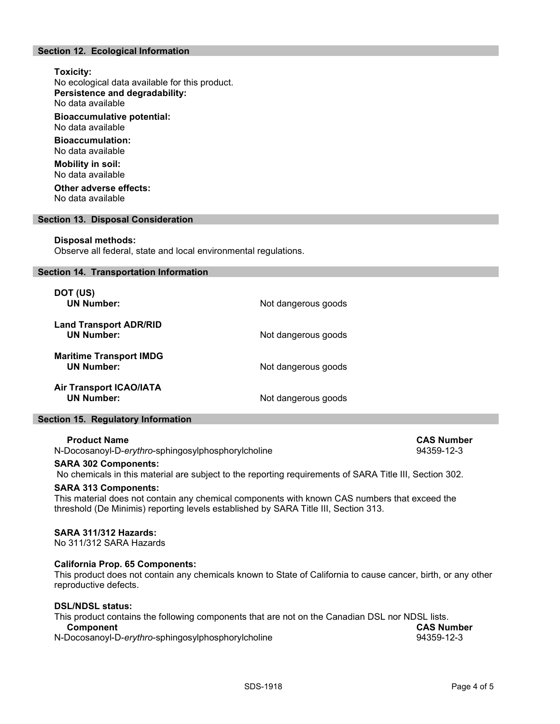# Section 12. Ecological Information

# Toxicity:

No ecological data available for this product. Persistence and degradability: No data available

Bioaccumulative potential: No data available

Bioaccumulation: No data available

Mobility in soil: No data available

Other adverse effects: No data available

## Section 13. Disposal Consideration

#### Disposal methods:

Observe all federal, state and local environmental regulations.

#### Section 14. Transportation Information

| DOT (US)<br><b>UN Number:</b>                       | Not dangerous goods |
|-----------------------------------------------------|---------------------|
| <b>Land Transport ADR/RID</b><br><b>UN Number:</b>  | Not dangerous goods |
| <b>Maritime Transport IMDG</b><br><b>UN Number:</b> | Not dangerous goods |
| <b>Air Transport ICAO/IATA</b><br><b>UN Number:</b> | Not dangerous goods |

#### Section 15. Regulatory Information

#### Product Name CAS Number CAS Number CAS Number

N-Docosanoyl-D-erythro-sphingosylphosphorylcholine example 34359-12-3

# SARA 302 Components:

No chemicals in this material are subject to the reporting requirements of SARA Title III, Section 302.

#### SARA 313 Components:

This material does not contain any chemical components with known CAS numbers that exceed the threshold (De Minimis) reporting levels established by SARA Title III, Section 313.

# SARA 311/312 Hazards:

No 311/312 SARA Hazards

# California Prop. 65 Components:

This product does not contain any chemicals known to State of California to cause cancer, birth, or any other reproductive defects.

#### DSL/NDSL status:

| This product contains the following components that are not on the Canadian DSL nor NDSL lists. |                   |
|-------------------------------------------------------------------------------------------------|-------------------|
| <b>Component</b>                                                                                | <b>CAS Number</b> |
| N-Docosanoyl-D-erythro-sphingosylphosphorylcholine                                              | 94359-12-3        |